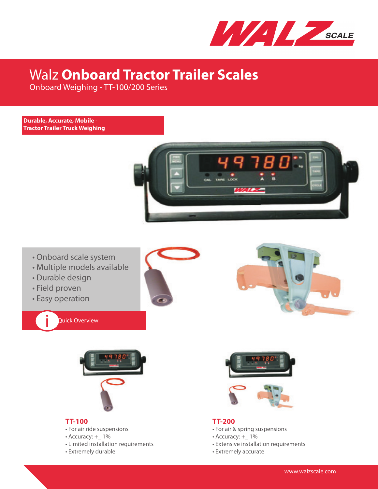

# Walz **Onboard Tractor Trailer Scales**

Onboard Weighing - TT-100/200 Series

#### **Durable, Accurate, Mobile - Tractor Trailer Truck Weighing**



- Onboard scale system
- Multiple models available
- Durable design
- Field proven

i

• Easy operation

Quick Overview







## **TT-100**

- For air ride suspensions
- Accuracy: + 1%
- Limited installation requirements
- Extremely durable



#### **TT-200**

- For air & spring suspensions
- Accuracy: + 1%
- Extensive installation requirements
- Extremely accurate